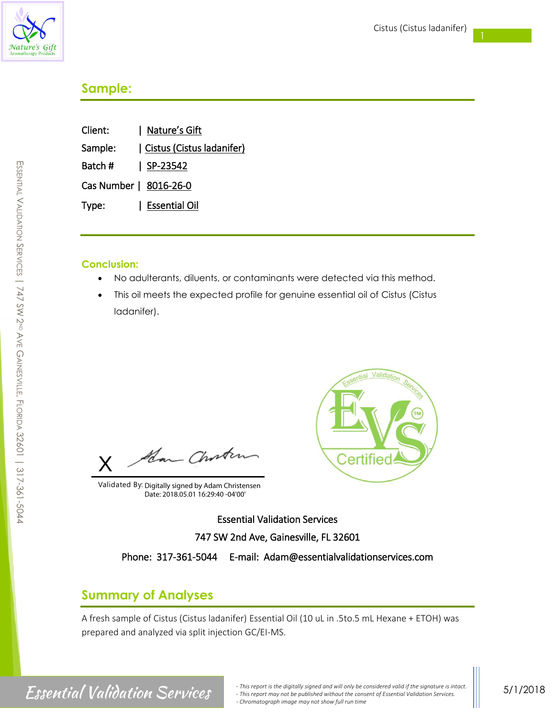

## **Sample:**

| Client:                | Nature's Gift             |
|------------------------|---------------------------|
| Sample:                | Cistus (Cistus ladanifer) |
| Batch #                | $ $ SP-23542              |
| Cas Number   8016-26-0 |                           |
| Type:                  | Essential Oil             |

## **Conclusion:**

- No adulterants, diluents, or contaminants were detected via this method.
- This oil meets the expected profile for genuine essential oil of Cistus (Cistus ladanifer).

How Choste X

Validated By: Digitally signed by Adam Christensen Date: 2018.05.01 16:29:40 -04'00'



Essential Validation Services 747 SW 2nd Ave, Gainesville, FL 32601

Phone: 317-361-5044 E-mail: Adam@essentialvalidationservices.com

# **Summary of Analyses**

A fresh sample of Cistus (Cistus ladanifer) Essential Oil (10 uL in .5to.5 mL Hexane + ETOH) was prepared and analyzed via split injection GC/EI-MS.

# SSENTIAL  $\,<$ ALIDATION  $\backsim$ ERVICES  $\overline{\phantom{a}}$ 747 SW 2ND AVE GAINESVILLE.<br>ה LORIDA 32601 | 317-361-5044

E

*- This report is the digitally signed and will only be considered valid if the signature is intact. CSSCHTIAI*  $Valiation$  Services. *- This report may not be published without the consent of Essential Validation Services. - Chromatograph image may not show full run time*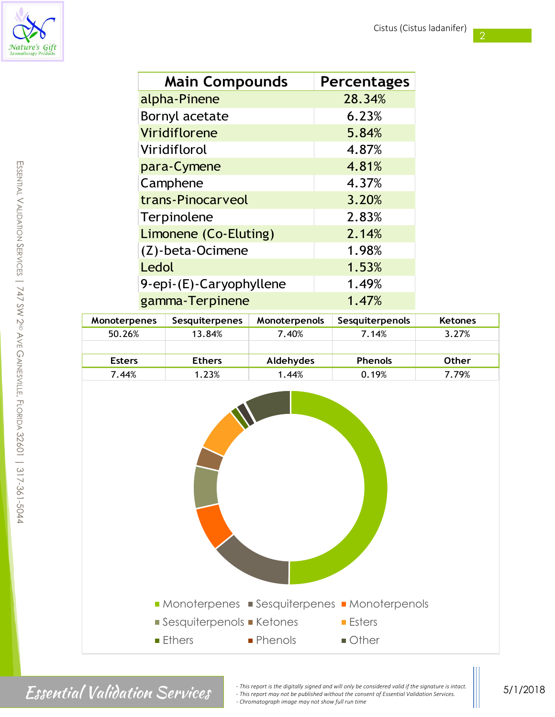2



| <b>Main Compounds</b>   | <b>Percentages</b> |
|-------------------------|--------------------|
| alpha-Pinene            | 28.34%             |
| Bornyl acetate          | 6.23%              |
| Viridiflorene           | 5.84%              |
| Viridiflorol            | 4.87%              |
| para-Cymene             | 4.81%              |
| Camphene                | 4.37%              |
| trans-Pinocarveol       | 3.20%              |
| Terpinolene             | 2.83%              |
| Limonene (Co-Eluting)   | 2.14%              |
| (Z)-beta-Ocimene        | 1.98%              |
| Ledol                   | 1.53%              |
| 9-epi-(E)-Caryophyllene | 1.49%              |
| gamma-Terpinene         | 1.47%              |

| <b>Monoterpenes</b> | <b>Sesquiterpenes</b> | Monoterpenols | <b>Sesquiterpenols</b> | <b>Ketones</b> |
|---------------------|-----------------------|---------------|------------------------|----------------|
| 50.26%              | 13.84%                | 7.40%         | 7.14%                  | 3.27%          |
|                     |                       |               |                        |                |
| <b>Esters</b>       | <b>Ethers</b>         | Aldehydes     | <b>Phenols</b>         | <b>Other</b>   |
| 7.44%               | 1.23%                 | 1.44%         | 0.19%                  | 7.79%          |



Finis report is the digitally signed and will only be considered valid if the signature is intact.<br>
This report may not be published without the consent of Essential Validation Services.<br>
Chemotecarchi mage may not be publ *- This report may not be published without the consent of Essential Validation Services. - Chromatograph image may not show full run time*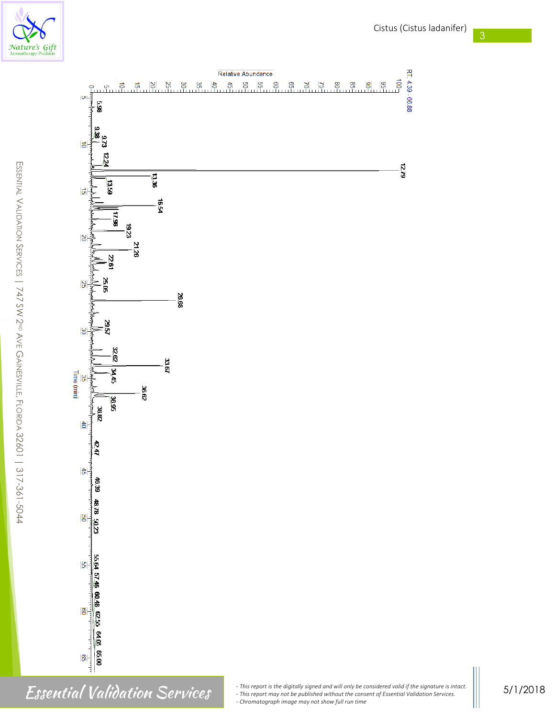



RT: 4.39 - 66.88

 $\overline{5}$ 

1279

န္ၾ

E

5/1/2018

Finis report is the digitally signed and will only be considered valid if the signature is intact.<br>
This report may not be published without the consent of Essential Validation Services.<br>
Chromatograph image may not show f *- This report may not be published without the consent of Essential Validation Services. - Chromatograph image may not show full run time*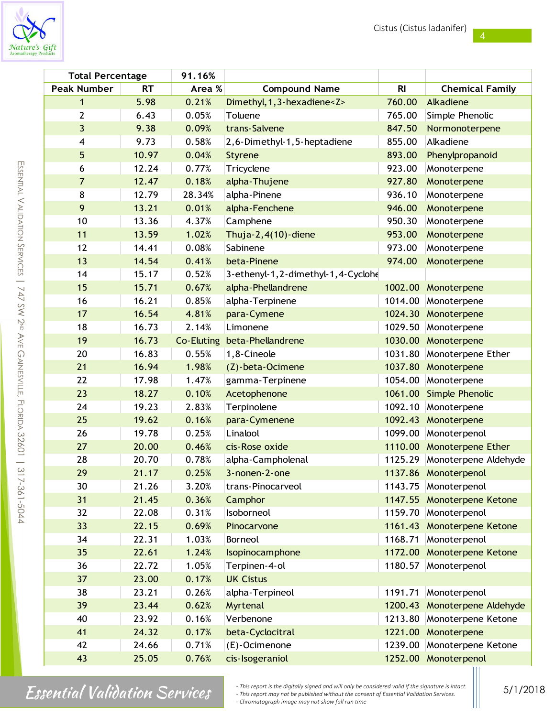

| <b>Total Percentage</b> |           | 91.16%            |                                    |                |                            |
|-------------------------|-----------|-------------------|------------------------------------|----------------|----------------------------|
| <b>Peak Number</b>      | <b>RT</b> | Area %            | <b>Compound Name</b>               | R <sub>l</sub> | <b>Chemical Family</b>     |
| 1                       | 5.98      | 0.21%             | Dimethyl, 1, 3-hexadiene <z></z>   | 760.00         | Alkadiene                  |
| 2                       | 6.43      | 0.05%             | Toluene                            | 765.00         | Simple Phenolic            |
| 3                       | 9.38      | 0.09%             | trans-Salvene                      | 847.50         | Normonoterpene             |
| 4                       | 9.73      | 0.58%             | 2,6-Dimethyl-1,5-heptadiene        | 855.00         | Alkadiene                  |
| 5                       | 10.97     | 0.04%             | <b>Styrene</b>                     | 893.00         | Phenylpropanoid            |
| 6                       | 12.24     | 0.77%             | Tricyclene                         | 923.00         | Monoterpene                |
| 7                       | 12.47     | 0.18%             | alpha-Thujene                      | 927.80         | Monoterpene                |
| 8                       | 12.79     | 28.34%            | alpha-Pinene                       | 936.10         | Monoterpene                |
| 9                       | 13.21     | 0.01%             | alpha-Fenchene                     | 946.00         | Monoterpene                |
| 10                      | 13.36     | 4.37%             | Camphene                           | 950.30         | Monoterpene                |
| 11                      | 13.59     | 1.02%             | Thuja- $2,4(10)$ -diene            | 953.00         | Monoterpene                |
| 12                      | 14.41     | 0.08%             | Sabinene                           | 973.00         | Monoterpene                |
| 13                      | 14.54     | 0.41%             | beta-Pinene                        | 974.00         | Monoterpene                |
| 14                      | 15.17     | 0.52%             | 3-ethenyl-1,2-dimethyl-1,4-Cyclohe |                |                            |
| 15                      | 15.71     | 0.67%             | alpha-Phellandrene                 | 1002.00        | Monoterpene                |
| 16                      | 16.21     | 0.85%             | alpha-Terpinene                    | 1014.00        | Monoterpene                |
| 17                      | 16.54     | 4.81%             | para-Cymene                        | 1024.30        | Monoterpene                |
| 18                      | 16.73     | 2.14%             | Limonene                           | 1029.50        | Monoterpene                |
| 19                      | 16.73     | <b>Co-Eluting</b> | beta-Phellandrene                  | 1030.00        | Monoterpene                |
| 20                      | 16.83     | 0.55%             | 1,8-Cineole                        | 1031.80        | Monoterpene Ether          |
| 21                      | 16.94     | 1.98%             | (Z)-beta-Ocimene                   | 1037.80        | Monoterpene                |
| 22                      | 17.98     | 1.47%             | gamma-Terpinene                    | 1054.00        | Monoterpene                |
| 23                      | 18.27     | 0.10%             | Acetophenone                       | 1061.00        | Simple Phenolic            |
| 24                      | 19.23     | 2.83%             | Terpinolene                        | 1092.10        | Monoterpene                |
| 25                      | 19.62     | 0.16%             | para-Cymenene                      | 1092.43        | Monoterpene                |
| 26                      | 19.78     | 0.25%             | Linalool                           | 1099.00        | Monoterpenol               |
| 27                      | 20.00     | 0.46%             | cis-Rose oxide                     |                | 1110.00 Monoterpene Ether  |
| 28                      | 20.70     | 0.78%             | alpha-Campholenal                  | 1125.29        | Monoterpene Aldehyde       |
| 29                      | 21.17     | 0.25%             | 3-nonen-2-one                      |                | 1137.86 Monoterpenol       |
| 30                      | 21.26     | 3.20%             | trans-Pinocarveol                  | 1143.75        | Monoterpenol               |
| 31                      | 21.45     | 0.36%             | Camphor                            |                | 1147.55 Monoterpene Ketone |
| 32                      | 22.08     | 0.31%             | Isoborneol                         | 1159.70        | Monoterpenol               |
| 33                      | 22.15     | 0.69%             | Pinocarvone                        | 1161.43        | Monoterpene Ketone         |
| 34                      | 22.31     | 1.03%             | Borneol                            | 1168.71        | Monoterpenol               |
| 35                      | 22.61     | 1.24%             | Isopinocamphone                    | 1172.00        | Monoterpene Ketone         |
| 36                      | 22.72     | 1.05%             | Terpinen-4-ol                      | 1180.57        | Monoterpenol               |
| 37                      | 23.00     | 0.17%             | <b>UK Cistus</b>                   |                |                            |
| 38                      | 23.21     | 0.26%             | alpha-Terpineol                    | 1191.71        | Monoterpenol               |
| 39                      | 23.44     | 0.62%             | Myrtenal                           | 1200.43        | Monoterpene Aldehyde       |
| 40                      | 23.92     | 0.16%             | Verbenone                          | 1213.80        | Monoterpene Ketone         |
| 41                      | 24.32     | 0.17%             | beta-Cyclocitral                   | 1221.00        | Monoterpene                |
| 42                      | 24.66     | 0.71%             | (E)-Ocimenone                      | 1239.00        | Monoterpene Ketone         |
| 43                      | 25.05     | 0.76%             | cis-Isogeraniol                    |                | 1252.00 Monoterpenol<br>Ш  |

m

Finis report is the digitally signed and will only be considered valid if the signature is intact.<br>
This report may not be published without the consent of Essential Validation Services.<br>
Chromatograph image may not show f *- This report may not be published without the consent of Essential Validation Services. - Chromatograph image may not show full run time*